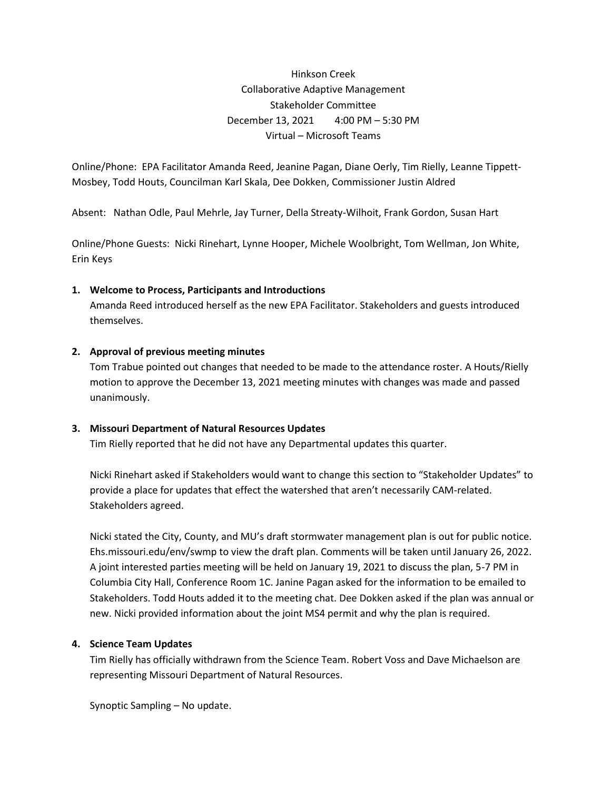Hinkson Creek Collaborative Adaptive Management Stakeholder Committee December 13, 2021 4:00 PM – 5:30 PM Virtual – Microsoft Teams

Online/Phone: EPA Facilitator Amanda Reed, Jeanine Pagan, Diane Oerly, Tim Rielly, Leanne Tippett-Mosbey, Todd Houts, Councilman Karl Skala, Dee Dokken, Commissioner Justin Aldred

Absent: Nathan Odle, Paul Mehrle, Jay Turner, Della Streaty-Wilhoit, Frank Gordon, Susan Hart

Online/Phone Guests: Nicki Rinehart, Lynne Hooper, Michele Woolbright, Tom Wellman, Jon White, Erin Keys

# **1. Welcome to Process, Participants and Introductions**

Amanda Reed introduced herself as the new EPA Facilitator. Stakeholders and guests introduced themselves.

# **2. Approval of previous meeting minutes**

Tom Trabue pointed out changes that needed to be made to the attendance roster. A Houts/Rielly motion to approve the December 13, 2021 meeting minutes with changes was made and passed unanimously.

# **3. Missouri Department of Natural Resources Updates**

Tim Rielly reported that he did not have any Departmental updates this quarter.

Nicki Rinehart asked if Stakeholders would want to change this section to "Stakeholder Updates" to provide a place for updates that effect the watershed that aren't necessarily CAM-related. Stakeholders agreed.

Nicki stated the City, County, and MU's draft stormwater management plan is out for public notice. Ehs.missouri.edu/env/swmp to view the draft plan. Comments will be taken until January 26, 2022. A joint interested parties meeting will be held on January 19, 2021 to discuss the plan, 5-7 PM in Columbia City Hall, Conference Room 1C. Janine Pagan asked for the information to be emailed to Stakeholders. Todd Houts added it to the meeting chat. Dee Dokken asked if the plan was annual or new. Nicki provided information about the joint MS4 permit and why the plan is required.

# **4. Science Team Updates**

Tim Rielly has officially withdrawn from the Science Team. Robert Voss and Dave Michaelson are representing Missouri Department of Natural Resources.

Synoptic Sampling – No update.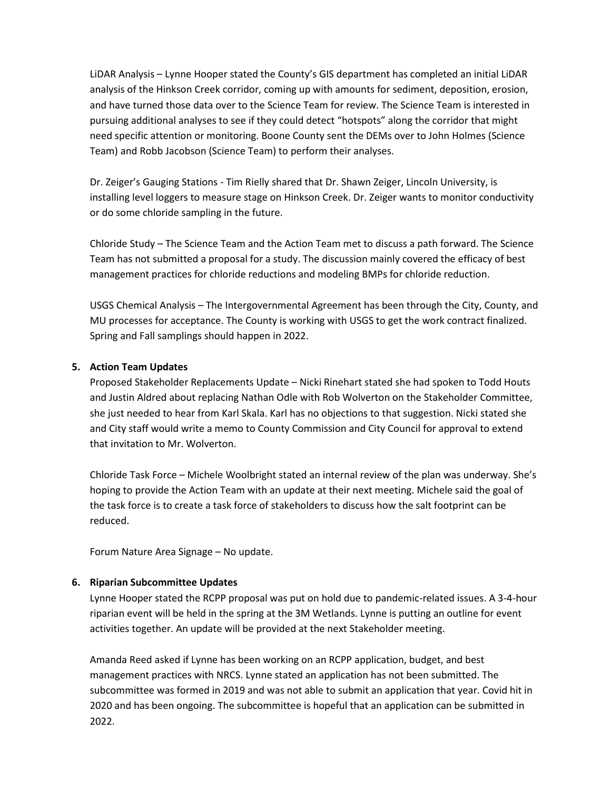LiDAR Analysis – Lynne Hooper stated the County's GIS department has completed an initial LiDAR analysis of the Hinkson Creek corridor, coming up with amounts for sediment, deposition, erosion, and have turned those data over to the Science Team for review. The Science Team is interested in pursuing additional analyses to see if they could detect "hotspots" along the corridor that might need specific attention or monitoring. Boone County sent the DEMs over to John Holmes (Science Team) and Robb Jacobson (Science Team) to perform their analyses.

Dr. Zeiger's Gauging Stations - Tim Rielly shared that Dr. Shawn Zeiger, Lincoln University, is installing level loggers to measure stage on Hinkson Creek. Dr. Zeiger wants to monitor conductivity or do some chloride sampling in the future.

Chloride Study – The Science Team and the Action Team met to discuss a path forward. The Science Team has not submitted a proposal for a study. The discussion mainly covered the efficacy of best management practices for chloride reductions and modeling BMPs for chloride reduction.

USGS Chemical Analysis – The Intergovernmental Agreement has been through the City, County, and MU processes for acceptance. The County is working with USGS to get the work contract finalized. Spring and Fall samplings should happen in 2022.

# **5. Action Team Updates**

Proposed Stakeholder Replacements Update – Nicki Rinehart stated she had spoken to Todd Houts and Justin Aldred about replacing Nathan Odle with Rob Wolverton on the Stakeholder Committee, she just needed to hear from Karl Skala. Karl has no objections to that suggestion. Nicki stated she and City staff would write a memo to County Commission and City Council for approval to extend that invitation to Mr. Wolverton.

Chloride Task Force – Michele Woolbright stated an internal review of the plan was underway. She's hoping to provide the Action Team with an update at their next meeting. Michele said the goal of the task force is to create a task force of stakeholders to discuss how the salt footprint can be reduced.

Forum Nature Area Signage – No update.

# **6. Riparian Subcommittee Updates**

Lynne Hooper stated the RCPP proposal was put on hold due to pandemic-related issues. A 3-4-hour riparian event will be held in the spring at the 3M Wetlands. Lynne is putting an outline for event activities together. An update will be provided at the next Stakeholder meeting.

Amanda Reed asked if Lynne has been working on an RCPP application, budget, and best management practices with NRCS. Lynne stated an application has not been submitted. The subcommittee was formed in 2019 and was not able to submit an application that year. Covid hit in 2020 and has been ongoing. The subcommittee is hopeful that an application can be submitted in 2022.